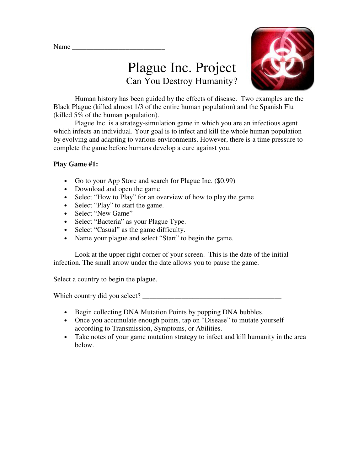Name



# Plague Inc. Project Can You Destroy Humanity?

 Human history has been guided by the effects of disease. Two examples are the Black Plague (killed almost 1/3 of the entire human population) and the Spanish Flu (killed 5% of the human population).

 Plague Inc. is a strategy-simulation game in which you are an infectious agent which infects an individual. Your goal is to infect and kill the whole human population by evolving and adapting to various environments. However, there is a time pressure to complete the game before humans develop a cure against you.

## **Play Game #1:**

- Go to your App Store and search for Plague Inc. (\$0.99)
- Download and open the game
- Select "How to Play" for an overview of how to play the game
- Select "Play" to start the game.
- Select "New Game"
- Select "Bacteria" as your Plague Type.
- Select "Casual" as the game difficulty.
- Name your plague and select "Start" to begin the game.

 Look at the upper right corner of your screen. This is the date of the initial infection. The small arrow under the date allows you to pause the game.

Select a country to begin the plague.

Which country did you select? \_\_\_\_\_\_\_\_\_\_\_\_\_\_\_\_\_\_\_\_\_\_\_\_\_\_\_\_\_\_\_\_\_\_\_\_\_\_\_

- Begin collecting DNA Mutation Points by popping DNA bubbles.
- Once you accumulate enough points, tap on "Disease" to mutate yourself according to Transmission, Symptoms, or Abilities.
- Take notes of your game mutation strategy to infect and kill humanity in the area below.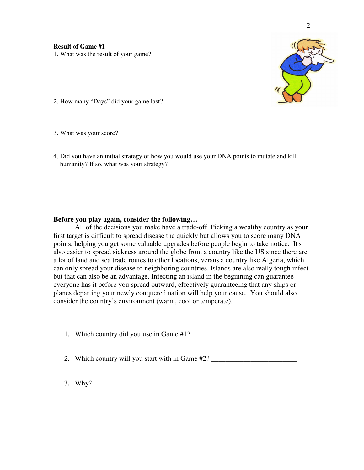

2. How many "Days" did your game last?

3. What was your score?

4. Did you have an initial strategy of how you would use your DNA points to mutate and kill humanity? If so, what was your strategy?

### **Before you play again, consider the following…**

All of the decisions you make have a trade-off. Picking a wealthy country as your first target is difficult to spread disease the quickly but allows you to score many DNA points, helping you get some valuable upgrades before people begin to take notice. It's also easier to spread sickness around the globe from a country like the US since there are a lot of land and sea trade routes to other locations, versus a country like Algeria, which can only spread your disease to neighboring countries. Islands are also really tough infect but that can also be an advantage. Infecting an island in the beginning can guarantee everyone has it before you spread outward, effectively guaranteeing that any ships or planes departing your newly conquered nation will help your cause. You should also consider the country's environment (warm, cool or temperate).

1. Which country did you use in Game #1? \_\_\_\_\_\_\_\_\_\_\_\_\_\_\_\_\_\_\_\_\_\_\_\_\_\_\_\_\_

2. Which country will you start with in Game #2? \_\_\_\_\_\_\_\_\_\_\_\_\_\_\_\_\_\_\_\_\_\_\_\_\_\_\_\_\_\_\_

3. Why?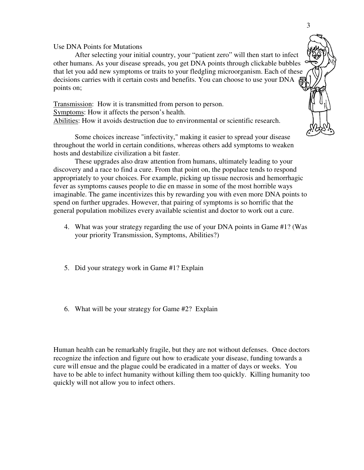#### Use DNA Points for Mutations

 After selecting your initial country, your "patient zero" will then start to infect other humans. As your disease spreads, you get DNA points through clickable bubbles that let you add new symptoms or traits to your fledgling microorganism. Each of these decisions carries with it certain costs and benefits. You can choose to use your DNA points on;

Transmission: How it is transmitted from person to person. Symptoms: How it affects the person's health. Abilities: How it avoids destruction due to environmental or scientific research.

 Some choices increase "infectivity," making it easier to spread your disease throughout the world in certain conditions, whereas others add symptoms to weaken hosts and destabilize civilization a bit faster.

 These upgrades also draw attention from humans, ultimately leading to your discovery and a race to find a cure. From that point on, the populace tends to respond appropriately to your choices. For example, picking up tissue necrosis and hemorrhagic fever as symptoms causes people to die en masse in some of the most horrible ways imaginable. The game incentivizes this by rewarding you with even more DNA points to spend on further upgrades. However, that pairing of symptoms is so horrific that the general population mobilizes every available scientist and doctor to work out a cure.

- 4. What was your strategy regarding the use of your DNA points in Game #1? (Was your priority Transmission, Symptoms, Abilities?)
- 5. Did your strategy work in Game #1? Explain
- 6. What will be your strategy for Game #2? Explain

Human health can be remarkably fragile, but they are not without defenses. Once doctors recognize the infection and figure out how to eradicate your disease, funding towards a cure will ensue and the plague could be eradicated in a matter of days or weeks. You have to be able to infect humanity without killing them too quickly. Killing humanity too quickly will not allow you to infect others.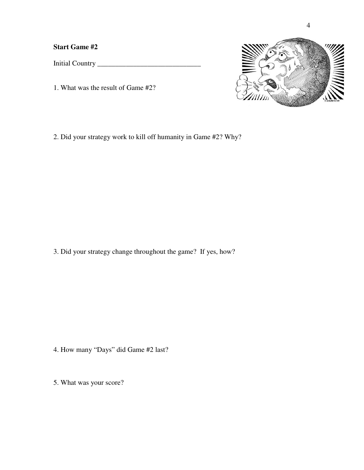**Start Game #2** 

Initial Country \_\_\_\_\_\_\_\_\_\_\_\_\_\_\_\_\_\_\_\_\_\_\_\_\_\_\_\_\_

1. What was the result of Game #2?



2. Did your strategy work to kill off humanity in Game #2? Why?

3. Did your strategy change throughout the game? If yes, how?

- 4. How many "Days" did Game #2 last?
- 5. What was your score?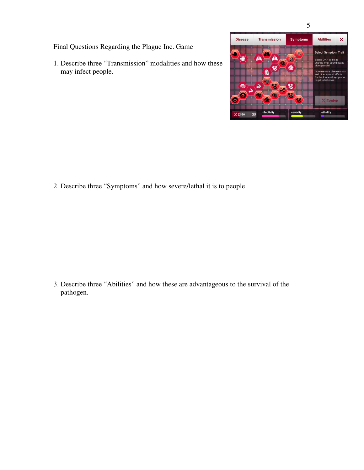5

Final Questions Regarding the Plague Inc. Game

1. Describe three "Transmission" modalities and how these may infect people.



2. Describe three "Symptoms" and how severe/lethal it is to people.

3. Describe three "Abilities" and how these are advantageous to the survival of the pathogen.